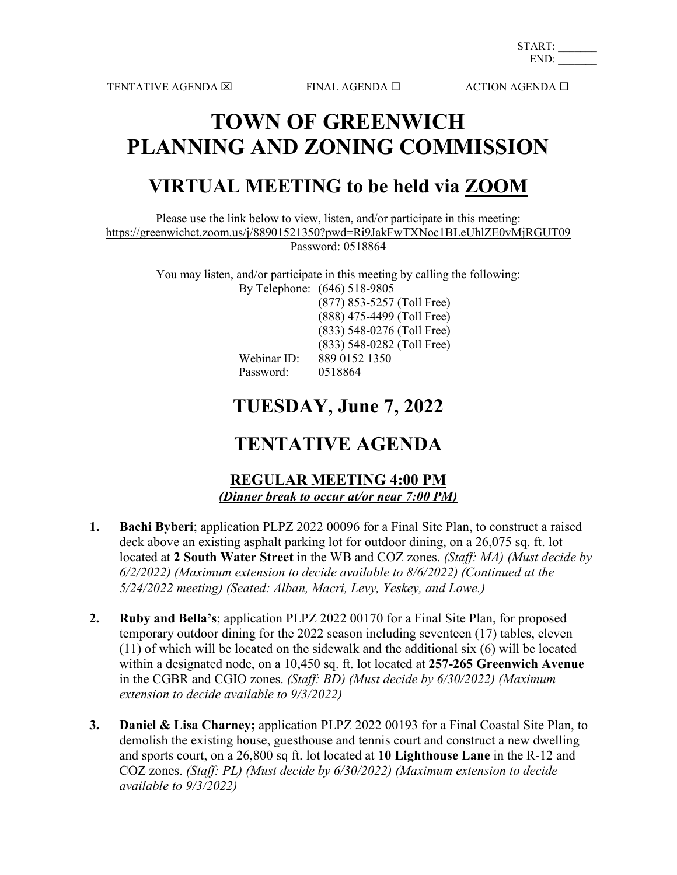TENTATIVE AGENDA  $\boxtimes$  FINAL AGENDA  $\square$  ACTION AGENDA  $\square$ 

START: END:

# **TOWN OF GREENWICH PLANNING AND ZONING COMMISSION**

## **VIRTUAL MEETING to be held via [ZOOM](https://zoom.us/)**

Please use the link below to view, listen, and/or participate in this meeting: <https://greenwichct.zoom.us/j/88901521350?pwd=Ri9JakFwTXNoc1BLeUhlZE0vMjRGUT09>

Password: 0518864

You may listen, and/or participate in this meeting by calling the following: By Telephone: (646) 518-9805

(877) 853-5257 (Toll Free)

Webinar ID: 889 0152 1350<br>Password: 0518864 Password:

(888) 475-4499 (Toll Free) (833) 548-0276 (Toll Free) (833) 548-0282 (Toll Free)

## **TUESDAY, June 7, 2022**

### **TENTATIVE AGENDA**

### **REGULAR MEETING 4:00 PM** *(Dinner break to occur at/or near 7:00 PM)*

- **1. Bachi Byberi**; application PLPZ 2022 00096 for a Final Site Plan, to construct a raised deck above an existing asphalt parking lot for outdoor dining, on a 26,075 sq. ft. lot located at **2 South Water Street** in the WB and COZ zones. *(Staff: MA) (Must decide by 6/2/2022) (Maximum extension to decide available to 8/6/2022) (Continued at the 5/24/2022 meeting) (Seated: Alban, Macri, Levy, Yeskey, and Lowe.)*
- **2. Ruby and Bella's**; application PLPZ 2022 00170 for a Final Site Plan, for proposed temporary outdoor dining for the 2022 season including seventeen (17) tables, eleven (11) of which will be located on the sidewalk and the additional six (6) will be located within a designated node, on a 10,450 sq. ft. lot located at **257-265 Greenwich Avenue** in the CGBR and CGIO zones. *(Staff: BD) (Must decide by 6/30/2022) (Maximum extension to decide available to 9/3/2022)*
- **3. Daniel & Lisa Charney;** application PLPZ 2022 00193 for a Final Coastal Site Plan, to demolish the existing house, guesthouse and tennis court and construct a new dwelling and sports court, on a 26,800 sq ft. lot located at **10 Lighthouse Lane** in the R-12 and COZ zones. *(Staff: PL) (Must decide by 6/30/2022) (Maximum extension to decide available to 9/3/2022)*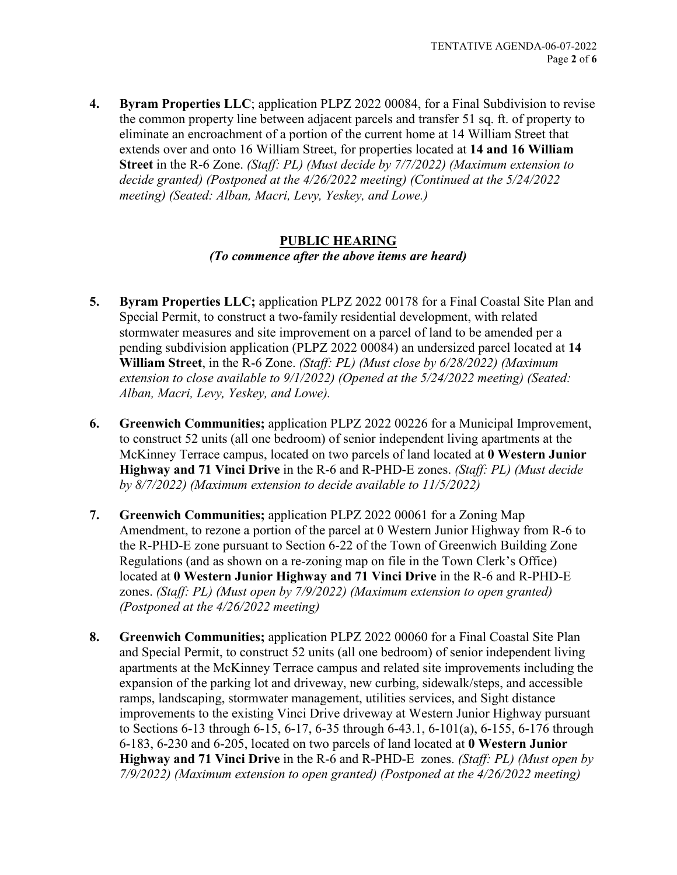**4. Byram Properties LLC**; application PLPZ 2022 00084, for a Final Subdivision to revise the common property line between adjacent parcels and transfer 51 sq. ft. of property to eliminate an encroachment of a portion of the current home at 14 William Street that extends over and onto 16 William Street, for properties located at **14 and 16 William Street** in the R-6 Zone. *(Staff: PL) (Must decide by 7/7/2022) (Maximum extension to decide granted) (Postponed at the 4/26/2022 meeting) (Continued at the 5/24/2022 meeting) (Seated: Alban, Macri, Levy, Yeskey, and Lowe.)*

#### **PUBLIC HEARING** *(To commence after the above items are heard)*

- **5. Byram Properties LLC;** application PLPZ 2022 00178 for a Final Coastal Site Plan and Special Permit, to construct a two-family residential development, with related stormwater measures and site improvement on a parcel of land to be amended per a pending subdivision application (PLPZ 2022 00084) an undersized parcel located at **14 William Street**, in the R-6 Zone. *(Staff: PL) (Must close by 6/28/2022) (Maximum extension to close available to 9/1/2022) (Opened at the 5/24/2022 meeting) (Seated: Alban, Macri, Levy, Yeskey, and Lowe).*
- **6. Greenwich Communities;** application PLPZ 2022 00226 for a Municipal Improvement, to construct 52 units (all one bedroom) of senior independent living apartments at the McKinney Terrace campus, located on two parcels of land located at **0 Western Junior Highway and 71 Vinci Drive** in the R-6 and R-PHD-E zones. *(Staff: PL) (Must decide by 8/7/2022) (Maximum extension to decide available to 11/5/2022)*
- **7. Greenwich Communities;** application PLPZ 2022 00061 for a Zoning Map Amendment, to rezone a portion of the parcel at 0 Western Junior Highway from R-6 to the R-PHD-E zone pursuant to Section 6-22 of the Town of Greenwich Building Zone Regulations (and as shown on a re-zoning map on file in the Town Clerk's Office) located at **0 Western Junior Highway and 71 Vinci Drive** in the R-6 and R-PHD-E zones. *(Staff: PL) (Must open by 7/9/2022) (Maximum extension to open granted) (Postponed at the 4/26/2022 meeting)*
- **8. Greenwich Communities;** application PLPZ 2022 00060 for a Final Coastal Site Plan and Special Permit, to construct 52 units (all one bedroom) of senior independent living apartments at the McKinney Terrace campus and related site improvements including the expansion of the parking lot and driveway, new curbing, sidewalk/steps, and accessible ramps, landscaping, stormwater management, utilities services, and Sight distance improvements to the existing Vinci Drive driveway at Western Junior Highway pursuant to Sections 6-13 through 6-15, 6-17, 6-35 through 6-43.1, 6-101(a), 6-155, 6-176 through 6-183, 6-230 and 6-205, located on two parcels of land located at **0 Western Junior Highway and 71 Vinci Drive** in the R-6 and R-PHD-E zones. *(Staff: PL) (Must open by 7/9/2022) (Maximum extension to open granted) (Postponed at the 4/26/2022 meeting)*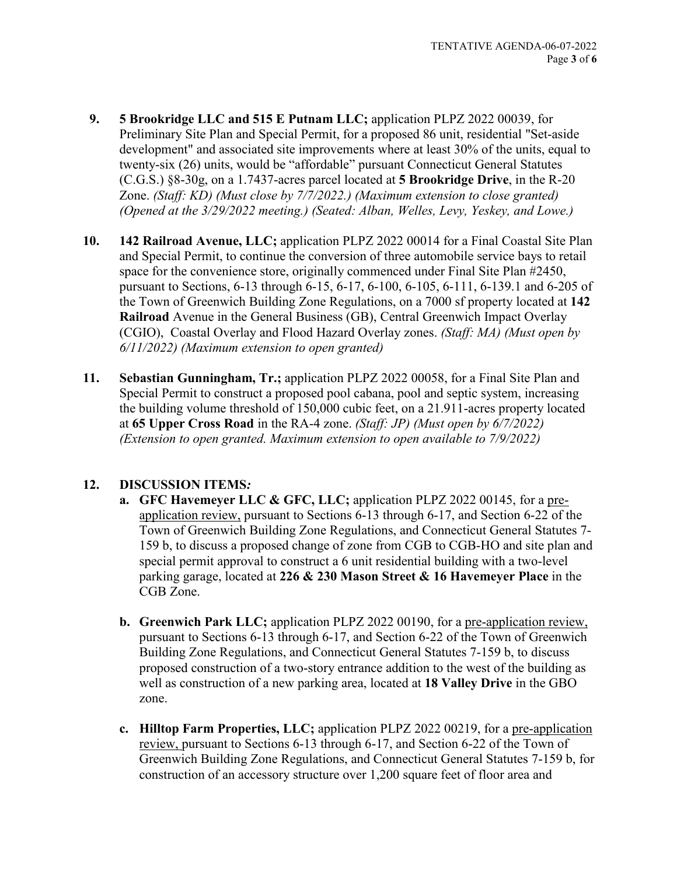- **9. 5 Brookridge LLC and 515 E Putnam LLC;** application PLPZ 2022 00039, for Preliminary Site Plan and Special Permit, for a proposed 86 unit, residential "Set-aside development" and associated site improvements where at least 30% of the units, equal to twenty-six (26) units, would be "affordable" pursuant Connecticut General Statutes (C.G.S.) §8-30g, on a 1.7437-acres parcel located at **5 Brookridge Drive**, in the R-20 Zone. *(Staff: KD) (Must close by 7/7/2022.) (Maximum extension to close granted) (Opened at the 3/29/2022 meeting.) (Seated: Alban, Welles, Levy, Yeskey, and Lowe.)*
- **10. 142 Railroad Avenue, LLC;** application PLPZ 2022 00014 for a Final Coastal Site Plan and Special Permit, to continue the conversion of three automobile service bays to retail space for the convenience store, originally commenced under Final Site Plan #2450, pursuant to Sections, 6-13 through 6-15, 6-17, 6-100, 6-105, 6-111, 6-139.1 and 6-205 of the Town of Greenwich Building Zone Regulations, on a 7000 sf property located at **142 Railroad** Avenue in the General Business (GB), Central Greenwich Impact Overlay (CGIO), Coastal Overlay and Flood Hazard Overlay zones. *(Staff: MA) (Must open by 6/11/2022) (Maximum extension to open granted)*
- **11. Sebastian Gunningham, Tr.;** application PLPZ 2022 00058, for a Final Site Plan and Special Permit to construct a proposed pool cabana, pool and septic system, increasing the building volume threshold of 150,000 cubic feet, on a 21.911-acres property located at **65 Upper Cross Road** in the RA-4 zone. *(Staff: JP) (Must open by 6/7/2022) (Extension to open granted. Maximum extension to open available to 7/9/2022)*

#### **12. DISCUSSION ITEMS***:*

- **a. GFC Havemeyer LLC & GFC, LLC;** application PLPZ 2022 00145, for a preapplication review, pursuant to Sections 6-13 through 6-17, and Section 6-22 of the Town of Greenwich Building Zone Regulations, and Connecticut General Statutes 7- 159 b, to discuss a proposed change of zone from CGB to CGB-HO and site plan and special permit approval to construct a 6 unit residential building with a two-level parking garage, located at **226 & 230 Mason Street & 16 Havemeyer Place** in the CGB Zone.
- **b. Greenwich Park LLC;** application PLPZ 2022 00190, for a pre-application review, pursuant to Sections 6-13 through 6-17, and Section 6-22 of the Town of Greenwich Building Zone Regulations, and Connecticut General Statutes 7-159 b, to discuss proposed construction of a two-story entrance addition to the west of the building as well as construction of a new parking area, located at **18 Valley Drive** in the GBO zone.
- **c. Hilltop Farm Properties, LLC;** application PLPZ 2022 00219, for a pre-application review, pursuant to Sections 6-13 through 6-17, and Section 6-22 of the Town of Greenwich Building Zone Regulations, and Connecticut General Statutes 7-159 b, for construction of an accessory structure over 1,200 square feet of floor area and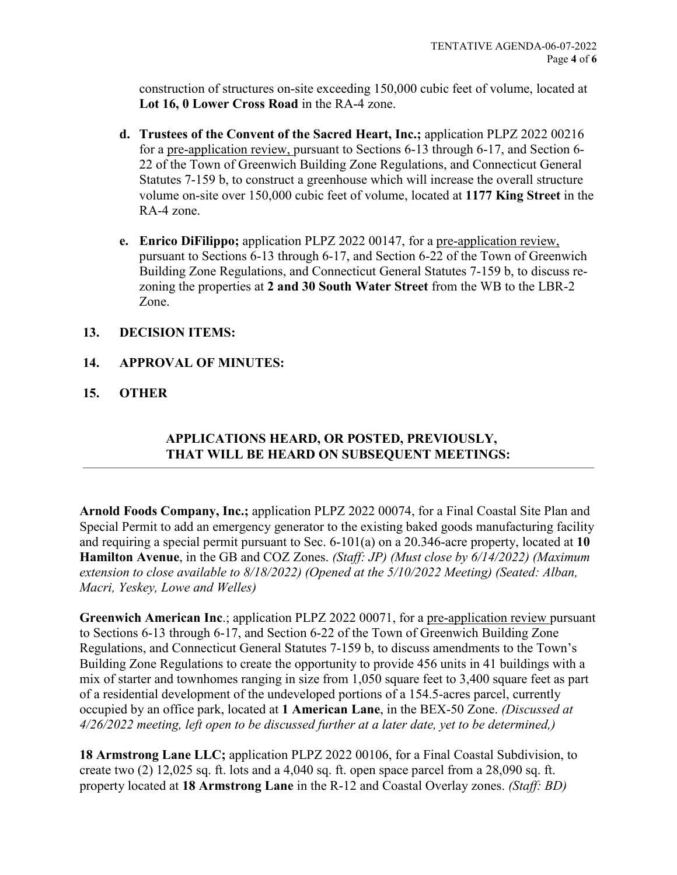construction of structures on-site exceeding 150,000 cubic feet of volume, located at **Lot 16, 0 Lower Cross Road** in the RA-4 zone.

- **d. Trustees of the Convent of the Sacred Heart, Inc.;** application PLPZ 2022 00216 for a pre-application review, pursuant to Sections 6-13 through 6-17, and Section 6- 22 of the Town of Greenwich Building Zone Regulations, and Connecticut General Statutes 7-159 b, to construct a greenhouse which will increase the overall structure volume on-site over 150,000 cubic feet of volume, located at **1177 King Street** in the RA-4 zone.
- **e. Enrico DiFilippo;** application PLPZ 2022 00147, for a pre-application review, pursuant to Sections 6-13 through 6-17, and Section 6-22 of the Town of Greenwich Building Zone Regulations, and Connecticut General Statutes 7-159 b, to discuss rezoning the properties at **2 and 30 South Water Street** from the WB to the LBR-2 Zone.

#### **13. DECISION ITEMS:**

- **14. APPROVAL OF MINUTES:**
- **15. OTHER**

### **APPLICATIONS HEARD, OR POSTED, PREVIOUSLY, THAT WILL BE HEARD ON SUBSEQUENT MEETINGS:**

**Arnold Foods Company, Inc.;** application PLPZ 2022 00074, for a Final Coastal Site Plan and Special Permit to add an emergency generator to the existing baked goods manufacturing facility and requiring a special permit pursuant to Sec. 6-101(a) on a 20.346-acre property, located at **10 Hamilton Avenue**, in the GB and COZ Zones. *(Staff: JP) (Must close by 6/14/2022) (Maximum extension to close available to 8/18/2022) (Opened at the 5/10/2022 Meeting) (Seated: Alban, Macri, Yeskey, Lowe and Welles)*

**Greenwich American Inc**.; application PLPZ 2022 00071, for a pre-application review pursuant to Sections 6-13 through 6-17, and Section 6-22 of the Town of Greenwich Building Zone Regulations, and Connecticut General Statutes 7-159 b, to discuss amendments to the Town's Building Zone Regulations to create the opportunity to provide 456 units in 41 buildings with a mix of starter and townhomes ranging in size from 1,050 square feet to 3,400 square feet as part of a residential development of the undeveloped portions of a 154.5-acres parcel, currently occupied by an office park, located at **1 American Lane**, in the BEX-50 Zone. *(Discussed at 4/26/2022 meeting, left open to be discussed further at a later date, yet to be determined,)*

**18 Armstrong Lane LLC;** application PLPZ 2022 00106, for a Final Coastal Subdivision, to create two (2) 12,025 sq. ft. lots and a 4,040 sq. ft. open space parcel from a 28,090 sq. ft. property located at **18 Armstrong Lane** in the R-12 and Coastal Overlay zones. *(Staff: BD)*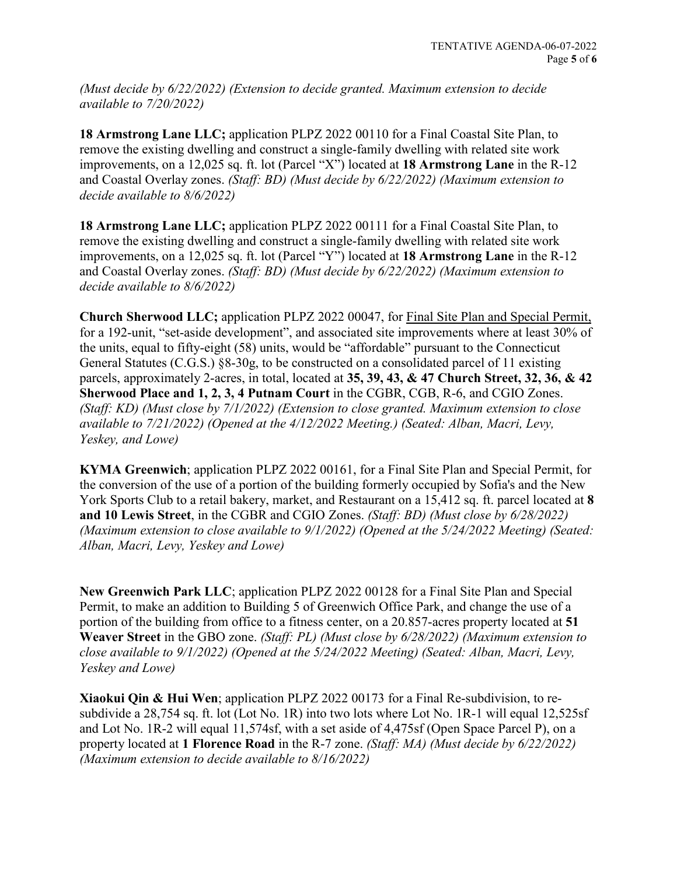*(Must decide by 6/22/2022) (Extension to decide granted. Maximum extension to decide available to 7/20/2022)*

**18 Armstrong Lane LLC;** application PLPZ 2022 00110 for a Final Coastal Site Plan, to remove the existing dwelling and construct a single-family dwelling with related site work improvements, on a 12,025 sq. ft. lot (Parcel "X") located at **18 Armstrong Lane** in the R-12 and Coastal Overlay zones. *(Staff: BD) (Must decide by 6/22/2022) (Maximum extension to decide available to 8/6/2022)*

**18 Armstrong Lane LLC;** application PLPZ 2022 00111 for a Final Coastal Site Plan, to remove the existing dwelling and construct a single-family dwelling with related site work improvements, on a 12,025 sq. ft. lot (Parcel "Y") located at **18 Armstrong Lane** in the R-12 and Coastal Overlay zones. *(Staff: BD) (Must decide by 6/22/2022) (Maximum extension to decide available to 8/6/2022)*

**Church Sherwood LLC;** application PLPZ 2022 00047, for Final Site Plan and Special Permit, for a 192-unit, "set-aside development", and associated site improvements where at least 30% of the units, equal to fifty-eight (58) units, would be "affordable" pursuant to the Connecticut General Statutes (C.G.S.) §8-30g, to be constructed on a consolidated parcel of 11 existing parcels, approximately 2-acres, in total, located at **35, 39, 43, & 47 Church Street, 32, 36, & 42 Sherwood Place and 1, 2, 3, 4 Putnam Court** in the CGBR, CGB, R-6, and CGIO Zones. *(Staff: KD) (Must close by 7/1/2022) (Extension to close granted. Maximum extension to close available to 7/21/2022) (Opened at the 4/12/2022 Meeting.) (Seated: Alban, Macri, Levy, Yeskey, and Lowe)*

**KYMA Greenwich**; application PLPZ 2022 00161, for a Final Site Plan and Special Permit, for the conversion of the use of a portion of the building formerly occupied by Sofia's and the New York Sports Club to a retail bakery, market, and Restaurant on a 15,412 sq. ft. parcel located at **8 and 10 Lewis Street**, in the CGBR and CGIO Zones. *(Staff: BD) (Must close by 6/28/2022) (Maximum extension to close available to 9/1/2022) (Opened at the 5/24/2022 Meeting) (Seated: Alban, Macri, Levy, Yeskey and Lowe)*

**New Greenwich Park LLC**; application PLPZ 2022 00128 for a Final Site Plan and Special Permit, to make an addition to Building 5 of Greenwich Office Park, and change the use of a portion of the building from office to a fitness center, on a 20.857-acres property located at **51 Weaver Street** in the GBO zone. *(Staff: PL) (Must close by 6/28/2022) (Maximum extension to close available to 9/1/2022) (Opened at the 5/24/2022 Meeting) (Seated: Alban, Macri, Levy, Yeskey and Lowe)*

**Xiaokui Qin & Hui Wen**; application PLPZ 2022 00173 for a Final Re-subdivision, to resubdivide a 28,754 sq. ft. lot (Lot No. 1R) into two lots where Lot No. 1R-1 will equal 12,525sf and Lot No. 1R-2 will equal 11,574sf, with a set aside of 4,475sf (Open Space Parcel P), on a property located at **1 Florence Road** in the R-7 zone. *(Staff: MA) (Must decide by 6/22/2022) (Maximum extension to decide available to 8/16/2022)*